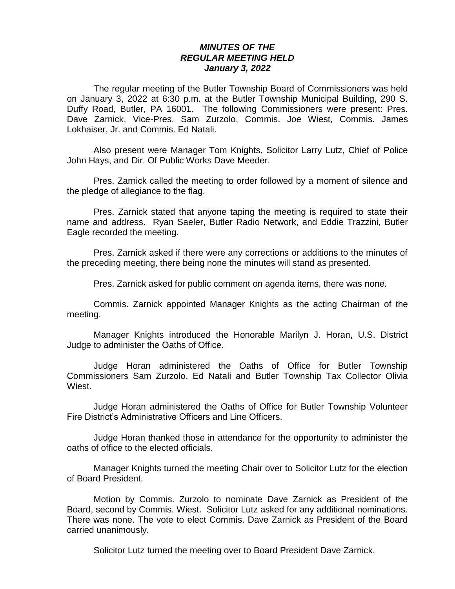## *MINUTES OF THE REGULAR MEETING HELD January 3, 2022*

The regular meeting of the Butler Township Board of Commissioners was held on January 3, 2022 at 6:30 p.m. at the Butler Township Municipal Building, 290 S. Duffy Road, Butler, PA 16001. The following Commissioners were present: Pres. Dave Zarnick, Vice-Pres. Sam Zurzolo, Commis. Joe Wiest, Commis. James Lokhaiser, Jr. and Commis. Ed Natali.

Also present were Manager Tom Knights, Solicitor Larry Lutz, Chief of Police John Hays, and Dir. Of Public Works Dave Meeder.

Pres. Zarnick called the meeting to order followed by a moment of silence and the pledge of allegiance to the flag.

Pres. Zarnick stated that anyone taping the meeting is required to state their name and address. Ryan Saeler, Butler Radio Network, and Eddie Trazzini, Butler Eagle recorded the meeting.

Pres. Zarnick asked if there were any corrections or additions to the minutes of the preceding meeting, there being none the minutes will stand as presented.

Pres. Zarnick asked for public comment on agenda items, there was none.

Commis. Zarnick appointed Manager Knights as the acting Chairman of the meeting.

Manager Knights introduced the Honorable Marilyn J. Horan, U.S. District Judge to administer the Oaths of Office.

Judge Horan administered the Oaths of Office for Butler Township Commissioners Sam Zurzolo, Ed Natali and Butler Township Tax Collector Olivia Wiest.

Judge Horan administered the Oaths of Office for Butler Township Volunteer Fire District's Administrative Officers and Line Officers.

Judge Horan thanked those in attendance for the opportunity to administer the oaths of office to the elected officials.

Manager Knights turned the meeting Chair over to Solicitor Lutz for the election of Board President.

Motion by Commis. Zurzolo to nominate Dave Zarnick as President of the Board, second by Commis. Wiest. Solicitor Lutz asked for any additional nominations. There was none. The vote to elect Commis. Dave Zarnick as President of the Board carried unanimously.

Solicitor Lutz turned the meeting over to Board President Dave Zarnick.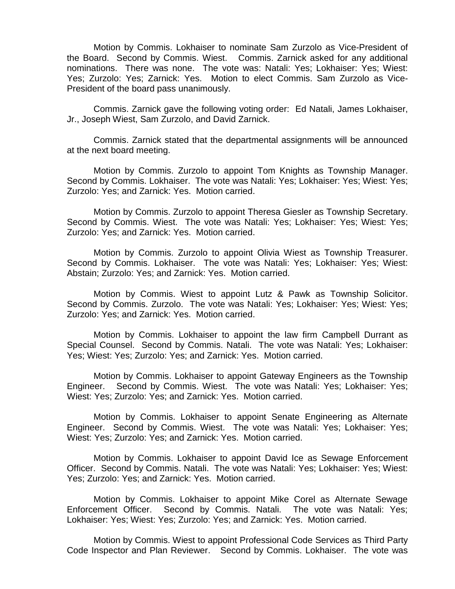Motion by Commis. Lokhaiser to nominate Sam Zurzolo as Vice-President of the Board. Second by Commis. Wiest. Commis. Zarnick asked for any additional nominations. There was none. The vote was: Natali: Yes; Lokhaiser: Yes; Wiest: Yes; Zurzolo: Yes; Zarnick: Yes. Motion to elect Commis. Sam Zurzolo as Vice-President of the board pass unanimously.

Commis. Zarnick gave the following voting order: Ed Natali, James Lokhaiser, Jr., Joseph Wiest, Sam Zurzolo, and David Zarnick.

Commis. Zarnick stated that the departmental assignments will be announced at the next board meeting.

Motion by Commis. Zurzolo to appoint Tom Knights as Township Manager. Second by Commis. Lokhaiser. The vote was Natali: Yes; Lokhaiser: Yes; Wiest: Yes; Zurzolo: Yes; and Zarnick: Yes. Motion carried.

Motion by Commis. Zurzolo to appoint Theresa Giesler as Township Secretary. Second by Commis. Wiest. The vote was Natali: Yes; Lokhaiser: Yes; Wiest: Yes; Zurzolo: Yes; and Zarnick: Yes. Motion carried.

Motion by Commis. Zurzolo to appoint Olivia Wiest as Township Treasurer. Second by Commis. Lokhaiser. The vote was Natali: Yes; Lokhaiser: Yes; Wiest: Abstain; Zurzolo: Yes; and Zarnick: Yes. Motion carried.

Motion by Commis. Wiest to appoint Lutz & Pawk as Township Solicitor. Second by Commis. Zurzolo. The vote was Natali: Yes; Lokhaiser: Yes; Wiest: Yes; Zurzolo: Yes; and Zarnick: Yes. Motion carried.

Motion by Commis. Lokhaiser to appoint the law firm Campbell Durrant as Special Counsel. Second by Commis. Natali. The vote was Natali: Yes; Lokhaiser: Yes; Wiest: Yes; Zurzolo: Yes; and Zarnick: Yes. Motion carried.

Motion by Commis. Lokhaiser to appoint Gateway Engineers as the Township Engineer. Second by Commis. Wiest. The vote was Natali: Yes; Lokhaiser: Yes; Wiest: Yes; Zurzolo: Yes; and Zarnick: Yes. Motion carried.

Motion by Commis. Lokhaiser to appoint Senate Engineering as Alternate Engineer. Second by Commis. Wiest. The vote was Natali: Yes; Lokhaiser: Yes; Wiest: Yes; Zurzolo: Yes; and Zarnick: Yes. Motion carried.

Motion by Commis. Lokhaiser to appoint David Ice as Sewage Enforcement Officer. Second by Commis. Natali. The vote was Natali: Yes; Lokhaiser: Yes; Wiest: Yes; Zurzolo: Yes; and Zarnick: Yes. Motion carried.

Motion by Commis. Lokhaiser to appoint Mike Corel as Alternate Sewage Enforcement Officer. Second by Commis. Natali. The vote was Natali: Yes; Lokhaiser: Yes; Wiest: Yes; Zurzolo: Yes; and Zarnick: Yes. Motion carried.

Motion by Commis. Wiest to appoint Professional Code Services as Third Party Code Inspector and Plan Reviewer. Second by Commis. Lokhaiser. The vote was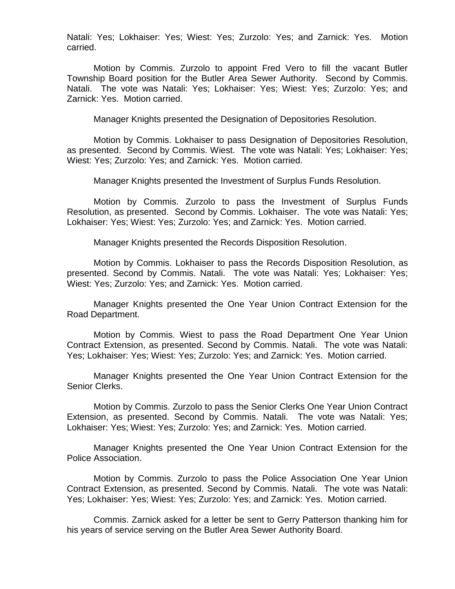Natali: Yes; Lokhaiser: Yes; Wiest: Yes; Zurzolo: Yes; and Zarnick: Yes. Motion carried.

Motion by Commis. Zurzolo to appoint Fred Vero to fill the vacant Butler Township Board position for the Butler Area Sewer Authority. Second by Commis. Natali. The vote was Natali: Yes; Lokhaiser: Yes; Wiest: Yes; Zurzolo: Yes; and Zarnick: Yes. Motion carried.

Manager Knights presented the Designation of Depositories Resolution.

 Motion by Commis. Lokhaiser to pass Designation of Depositories Resolution, as presented. Second by Commis. Wiest. The vote was Natali: Yes; Lokhaiser: Yes; Wiest: Yes; Zurzolo: Yes; and Zarnick: Yes. Motion carried.

Manager Knights presented the Investment of Surplus Funds Resolution.

Motion by Commis. Zurzolo to pass the Investment of Surplus Funds Resolution, as presented. Second by Commis. Lokhaiser. The vote was Natali: Yes; Lokhaiser: Yes; Wiest: Yes; Zurzolo: Yes; and Zarnick: Yes. Motion carried.

Manager Knights presented the Records Disposition Resolution.

Motion by Commis. Lokhaiser to pass the Records Disposition Resolution, as presented. Second by Commis. Natali. The vote was Natali: Yes; Lokhaiser: Yes; Wiest: Yes; Zurzolo: Yes; and Zarnick: Yes. Motion carried.

Manager Knights presented the One Year Union Contract Extension for the Road Department.

Motion by Commis. Wiest to pass the Road Department One Year Union Contract Extension, as presented. Second by Commis. Natali. The vote was Natali: Yes; Lokhaiser: Yes; Wiest: Yes; Zurzolo: Yes; and Zarnick: Yes. Motion carried.

Manager Knights presented the One Year Union Contract Extension for the Senior Clerks.

Motion by Commis. Zurzolo to pass the Senior Clerks One Year Union Contract Extension, as presented. Second by Commis. Natali. The vote was Natali: Yes; Lokhaiser: Yes; Wiest: Yes; Zurzolo: Yes; and Zarnick: Yes. Motion carried.

Manager Knights presented the One Year Union Contract Extension for the Police Association.

Motion by Commis. Zurzolo to pass the Police Association One Year Union Contract Extension, as presented. Second by Commis. Natali. The vote was Natali: Yes; Lokhaiser: Yes; Wiest: Yes; Zurzolo: Yes; and Zarnick: Yes. Motion carried.

Commis. Zarnick asked for a letter be sent to Gerry Patterson thanking him for his years of service serving on the Butler Area Sewer Authority Board.